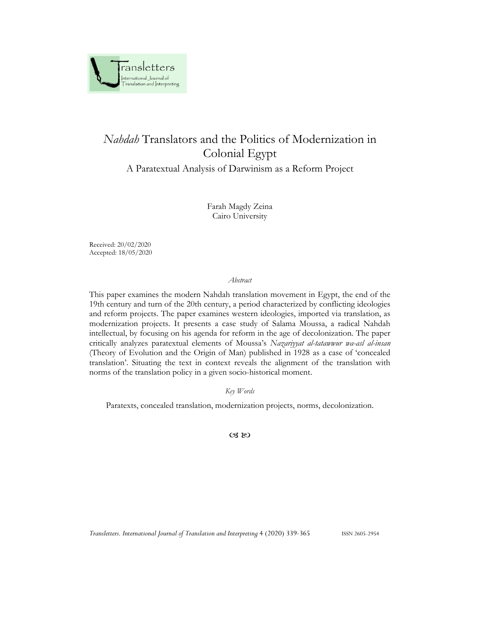

# *Nahdah* Translators and the Politics of Modernization in Colonial Egypt

A Paratextual Analysis of Darwinism as a Reform Project

Farah Magdy Zeina Cairo University

Received: 20/02/2020 Accepted: 18/05/2020

*Abstract*

This paper examines the modern Nahdah translation movement in Egypt, the end of the 19th century and turn of the 20th century, a period characterized by conflicting ideologies and reform projects. The paper examines western ideologies, imported via translation, as modernization projects. It presents a case study of Salama Moussa, a radical Nahdah intellectual, by focusing on his agenda for reform in the age of decolonization. The paper critically analyzes paratextual elements of Moussa's *Nazariyyat al-tatawwur wa-asl al-insan*  (Theory of Evolution and the Origin of Man) published in 1928 as a case of 'concealed translation'. Situating the text in context reveals the alignment of the translation with norms of the translation policy in a given socio-historical moment.

*Key Words*

Paratexts, concealed translation, modernization projects, norms, decolonization.

 $\infty$ 

*Transletters. International Journal of Translation and Interpreting* 4 (2020) 339-365 ISSN 2605-2954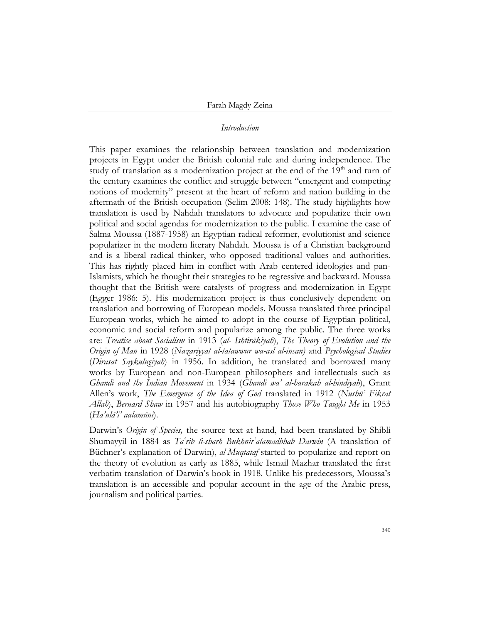### *Introduction*

This paper examines the relationship between translation and modernization projects in Egypt under the British colonial rule and during independence. The study of translation as a modernization project at the end of the  $19<sup>th</sup>$  and turn of the century examines the conflict and struggle between "emergent and competing notions of modernity" present at the heart of reform and nation building in the aftermath of the British occupation (Selim 2008: 148). The study highlights how translation is used by Nahdah translators to advocate and popularize their own political and social agendas for modernization to the public. I examine the case of Salma Moussa (1887-1958) an Egyptian radical reformer, evolutionist and science popularizer in the modern literary Nahdah. Moussa is of a Christian background and is a liberal radical thinker, who opposed traditional values and authorities. This has rightly placed him in conflict with Arab centered ideologies and pan-Islamists, which he thought their strategies to be regressive and backward. Moussa thought that the British were catalysts of progress and modernization in Egypt (Egger 1986: 5). His modernization project is thus conclusively dependent on translation and borrowing of European models. Moussa translated three principal European works, which he aimed to adopt in the course of Egyptian political, economic and social reform and popularize among the public. The three works are: *Treatise about Socialism* in 1913 (*al- Ishtirākiyah*), *The Theory of Evolution and the Origin of Man* in 1928 (*Nazariyyat al-tatawwur wa-asl al-insan)* and *Psychological Studies* (*Dirasat Saykulugiyah*) in 1956. In addition, he translated and borrowed many works by European and non-European philosophers and intellectuals such as *Ghandi and the Indian Movement* in 1934 (*Ghandi wa' al-harakah al-hindiyah*), Grant Allen's work, *The Emergence of the Idea of God* translated in 1912 (*Nushū' Fikrat Allah*), *Bernard Shaw* in 1957 and his autobiography *Those Who Taught Me* in 1953 (*Ha'ulā'i' aalamūni*).

Darwin's *Origin of Species,* the source text at hand, had been translated by Shibli Shumayyil in 1884 as *Taʿrib li-sharh Bukhnirʿalamadhhab Darwin* (A translation of Büchner's explanation of Darwin), *al-Muqtataf* started to popularize and report on the theory of evolution as early as 1885, while Ismail Mazhar translated the first verbatim translation of Darwin's book in 1918. Unlike his predecessors, Moussa's translation is an accessible and popular account in the age of the Arabic press, journalism and political parties.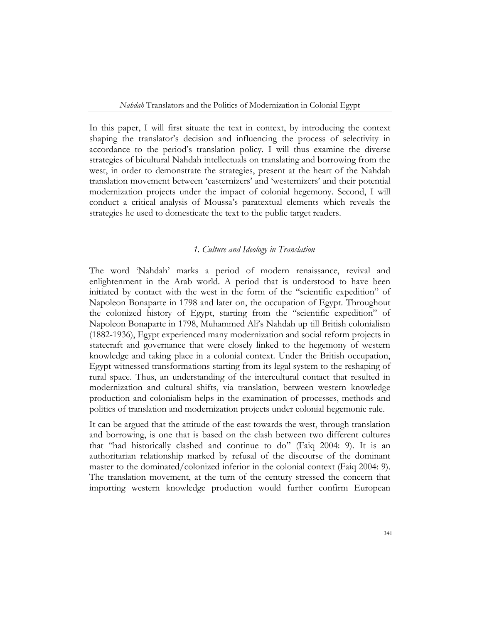In this paper, I will first situate the text in context, by introducing the context shaping the translator's decision and influencing the process of selectivity in accordance to the period's translation policy. I will thus examine the diverse strategies of bicultural Nahdah intellectuals on translating and borrowing from the west, in order to demonstrate the strategies, present at the heart of the Nahdah translation movement between 'easternizers' and 'westernizers' and their potential modernization projects under the impact of colonial hegemony. Second, I will conduct a critical analysis of Moussa's paratextual elements which reveals the strategies he used to domesticate the text to the public target readers.

## *1. Culture and Ideology in Translation*

The word 'Nahdah' marks a period of modern renaissance, revival and enlightenment in the Arab world. A period that is understood to have been initiated by contact with the west in the form of the "scientific expedition" of Napoleon Bonaparte in 1798 and later on, the occupation of Egypt. Throughout the colonized history of Egypt, starting from the "scientific expedition" of Napoleon Bonaparte in 1798, Muhammed Ali's Nahdah up till British colonialism (1882-1936), Egypt experienced many modernization and social reform projects in statecraft and governance that were closely linked to the hegemony of western knowledge and taking place in a colonial context. Under the British occupation, Egypt witnessed transformations starting from its legal system to the reshaping of rural space. Thus, an understanding of the intercultural contact that resulted in modernization and cultural shifts, via translation, between western knowledge production and colonialism helps in the examination of processes, methods and politics of translation and modernization projects under colonial hegemonic rule.

It can be argued that the attitude of the east towards the west, through translation and borrowing, is one that is based on the clash between two different cultures that "had historically clashed and continue to do" (Faiq 2004: 9). It is an authoritarian relationship marked by refusal of the discourse of the dominant master to the dominated/colonized inferior in the colonial context (Faiq 2004: 9). The translation movement, at the turn of the century stressed the concern that importing western knowledge production would further confirm European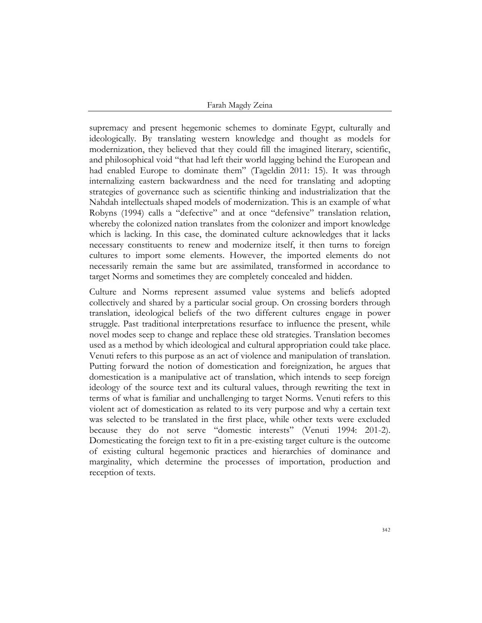supremacy and present hegemonic schemes to dominate Egypt, culturally and ideologically. By translating western knowledge and thought as models for modernization, they believed that they could fill the imagined literary, scientific, and philosophical void "that had left their world lagging behind the European and had enabled Europe to dominate them" (Tageldin 2011: 15). It was through internalizing eastern backwardness and the need for translating and adopting strategies of governance such as scientific thinking and industrialization that the Nahdah intellectuals shaped models of modernization. This is an example of what Robyns (1994) calls a "defective" and at once "defensive" translation relation, whereby the colonized nation translates from the colonizer and import knowledge which is lacking. In this case, the dominated culture acknowledges that it lacks necessary constituents to renew and modernize itself, it then turns to foreign cultures to import some elements. However, the imported elements do not necessarily remain the same but are assimilated, transformed in accordance to target Norms and sometimes they are completely concealed and hidden.

Culture and Norms represent assumed value systems and beliefs adopted collectively and shared by a particular social group. On crossing borders through translation, ideological beliefs of the two different cultures engage in power struggle. Past traditional interpretations resurface to influence the present, while novel modes seep to change and replace these old strategies. Translation becomes used as a method by which ideological and cultural appropriation could take place. Venuti refers to this purpose as an act of violence and manipulation of translation. Putting forward the notion of domestication and foreignization, he argues that domestication is a manipulative act of translation, which intends to seep foreign ideology of the source text and its cultural values, through rewriting the text in terms of what is familiar and unchallenging to target Norms. Venuti refers to this violent act of domestication as related to its very purpose and why a certain text was selected to be translated in the first place, while other texts were excluded because they do not serve "domestic interests" (Venuti 1994: 201-2). Domesticating the foreign text to fit in a pre-existing target culture is the outcome of existing cultural hegemonic practices and hierarchies of dominance and marginality, which determine the processes of importation, production and reception of texts.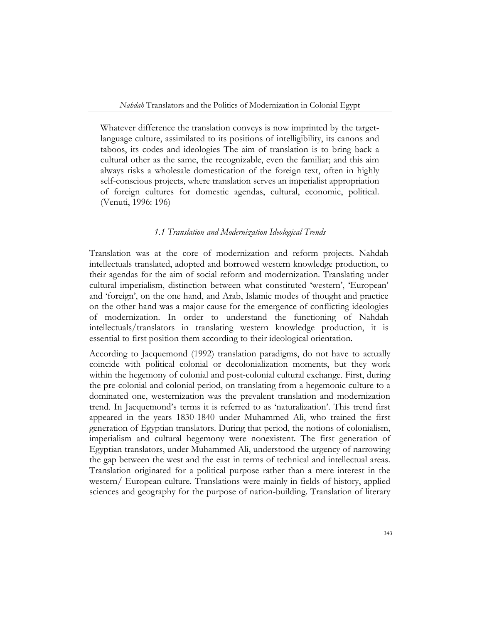Whatever difference the translation conveys is now imprinted by the targetlanguage culture, assimilated to its positions of intelligibility, its canons and taboos, its codes and ideologies The aim of translation is to bring back a cultural other as the same, the recognizable, even the familiar; and this aim always risks a wholesale domestication of the foreign text, often in highly self-conscious projects, where translation serves an imperialist appropriation of foreign cultures for domestic agendas, cultural, economic, political. (Venuti, 1996: 196)

### *1.1 Translation and Modernization Ideological Trends*

Translation was at the core of modernization and reform projects. Nahdah intellectuals translated, adopted and borrowed western knowledge production, to their agendas for the aim of social reform and modernization. Translating under cultural imperialism, distinction between what constituted 'western', 'European' and 'foreign', on the one hand, and Arab, Islamic modes of thought and practice on the other hand was a major cause for the emergence of conflicting ideologies of modernization. In order to understand the functioning of Nahdah intellectuals/translators in translating western knowledge production, it is essential to first position them according to their ideological orientation.

According to Jacquemond (1992) translation paradigms, do not have to actually coincide with political colonial or decolonialization moments, but they work within the hegemony of colonial and post-colonial cultural exchange. First, during the pre-colonial and colonial period, on translating from a hegemonic culture to a dominated one, westernization was the prevalent translation and modernization trend. In Jacquemond's terms it is referred to as 'naturalization'. This trend first appeared in the years 1830-1840 under Muhammed Ali, who trained the first generation of Egyptian translators. During that period, the notions of colonialism, imperialism and cultural hegemony were nonexistent. The first generation of Egyptian translators, under Muhammed Ali, understood the urgency of narrowing the gap between the west and the east in terms of technical and intellectual areas. Translation originated for a political purpose rather than a mere interest in the western/ European culture. Translations were mainly in fields of history, applied sciences and geography for the purpose of nation-building. Translation of literary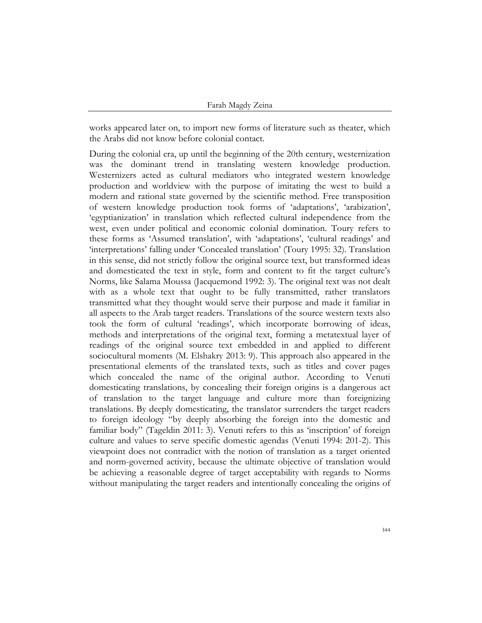works appeared later on, to import new forms of literature such as theater, which the Arabs did not know before colonial contact.

During the colonial era, up until the beginning of the 20th century, westernization was the dominant trend in translating western knowledge production. Westernizers acted as cultural mediators who integrated western knowledge production and worldview with the purpose of imitating the west to build a modern and rational state governed by the scientific method. Free transposition of western knowledge production took forms of 'adaptations', 'arabization', 'egyptianization' in translation which reflected cultural independence from the west, even under political and economic colonial domination. Toury refers to these forms as 'Assumed translation', with 'adaptations', 'cultural readings' and 'interpretations' falling under 'Concealed translation' (Toury 1995: 32). Translation in this sense, did not strictly follow the original source text, but transformed ideas and domesticated the text in style, form and content to fit the target culture's Norms, like Salama Moussa (Jacquemond 1992: 3). The original text was not dealt with as a whole text that ought to be fully transmitted, rather translators transmitted what they thought would serve their purpose and made it familiar in all aspects to the Arab target readers. Translations of the source western texts also took the form of cultural 'readings', which incorporate borrowing of ideas, methods and interpretations of the original text, forming a metatextual layer of readings of the original source text embedded in and applied to different sociocultural moments (M. Elshakry 2013: 9). This approach also appeared in the presentational elements of the translated texts, such as titles and cover pages which concealed the name of the original author. According to Venuti domesticating translations, by concealing their foreign origins is a dangerous act of translation to the target language and culture more than foreignizing translations. By deeply domesticating, the translator surrenders the target readers to foreign ideology "by deeply absorbing the foreign into the domestic and familiar body" (Tageldin 2011: 3). Venuti refers to this as 'inscription' of foreign culture and values to serve specific domestic agendas (Venuti 1994: 201-2). This viewpoint does not contradict with the notion of translation as a target oriented and norm-governed activity, because the ultimate objective of translation would be achieving a reasonable degree of target acceptability with regards to Norms without manipulating the target readers and intentionally concealing the origins of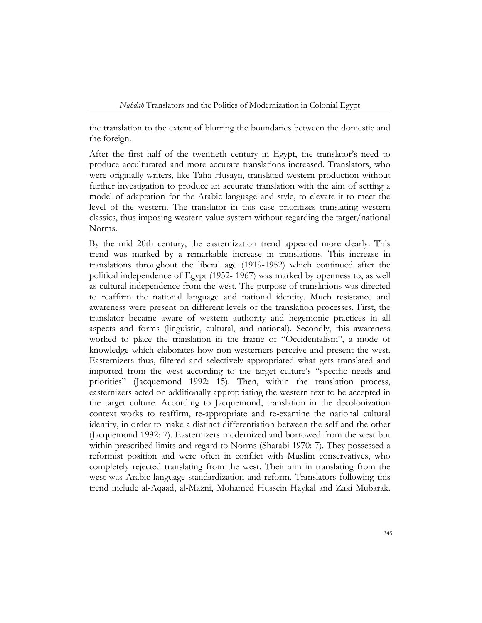the translation to the extent of blurring the boundaries between the domestic and the foreign.

After the first half of the twentieth century in Egypt, the translator's need to produce acculturated and more accurate translations increased. Translators, who were originally writers, like Taha Husayn, translated western production without further investigation to produce an accurate translation with the aim of setting a model of adaptation for the Arabic language and style, to elevate it to meet the level of the western. The translator in this case prioritizes translating western classics, thus imposing western value system without regarding the target/national Norms.

By the mid 20th century, the easternization trend appeared more clearly. This trend was marked by a remarkable increase in translations. This increase in translations throughout the liberal age (1919-1952) which continued after the political independence of Egypt (1952- 1967) was marked by openness to, as well as cultural independence from the west. The purpose of translations was directed to reaffirm the national language and national identity. Much resistance and awareness were present on different levels of the translation processes. First, the translator became aware of western authority and hegemonic practices in all aspects and forms (linguistic, cultural, and national). Secondly, this awareness worked to place the translation in the frame of "Occidentalism", a mode of knowledge which elaborates how non-westerners perceive and present the west. Easternizers thus, filtered and selectively appropriated what gets translated and imported from the west according to the target culture's "specific needs and priorities" (Jacquemond 1992: 15). Then, within the translation process, easternizers acted on additionally appropriating the western text to be accepted in the target culture. According to Jacquemond, translation in the decolonization context works to reaffirm, re-appropriate and re-examine the national cultural identity, in order to make a distinct differentiation between the self and the other (Jacquemond 1992: 7). Easternizers modernized and borrowed from the west but within prescribed limits and regard to Norms (Sharabi 1970: 7). They possessed a reformist position and were often in conflict with Muslim conservatives, who completely rejected translating from the west. Their aim in translating from the west was Arabic language standardization and reform. Translators following this trend include al-Aqaad, al-Mazni, Mohamed Hussein Haykal and Zaki Mubarak.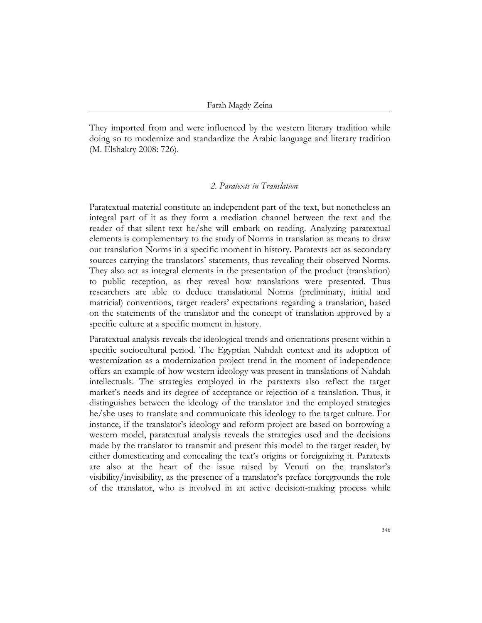They imported from and were influenced by the western literary tradition while doing so to modernize and standardize the Arabic language and literary tradition (M. Elshakry 2008: 726).

# *2. Paratexts in Translation*

Paratextual material constitute an independent part of the text, but nonetheless an integral part of it as they form a mediation channel between the text and the reader of that silent text he/she will embark on reading. Analyzing paratextual elements is complementary to the study of Norms in translation as means to draw out translation Norms in a specific moment in history. Paratexts act as secondary sources carrying the translators' statements, thus revealing their observed Norms. They also act as integral elements in the presentation of the product (translation) to public reception, as they reveal how translations were presented. Thus researchers are able to deduce translational Norms (preliminary, initial and matricial) conventions, target readers' expectations regarding a translation, based on the statements of the translator and the concept of translation approved by a specific culture at a specific moment in history.

Paratextual analysis reveals the ideological trends and orientations present within a specific sociocultural period. The Egyptian Nahdah context and its adoption of westernization as a modernization project trend in the moment of independence offers an example of how western ideology was present in translations of Nahdah intellectuals. The strategies employed in the paratexts also reflect the target market's needs and its degree of acceptance or rejection of a translation. Thus, it distinguishes between the ideology of the translator and the employed strategies he/she uses to translate and communicate this ideology to the target culture. For instance, if the translator's ideology and reform project are based on borrowing a western model, paratextual analysis reveals the strategies used and the decisions made by the translator to transmit and present this model to the target reader, by either domesticating and concealing the text's origins or foreignizing it. Paratexts are also at the heart of the issue raised by Venuti on the translator's visibility/invisibility, as the presence of a translator's preface foregrounds the role of the translator, who is involved in an active decision-making process while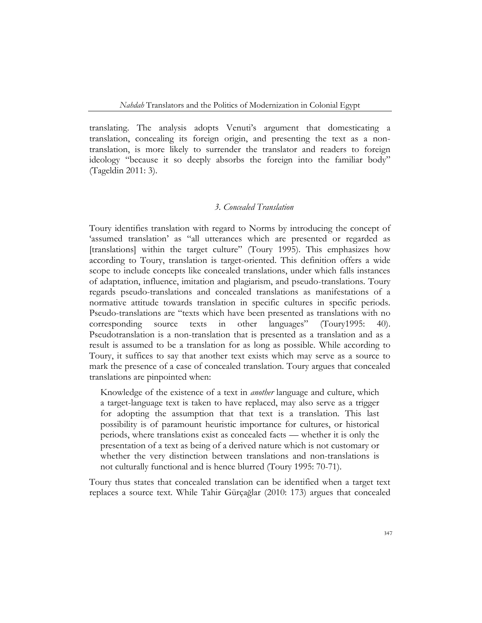translating. The analysis adopts Venuti's argument that domesticating a translation, concealing its foreign origin, and presenting the text as a nontranslation, is more likely to surrender the translator and readers to foreign ideology "because it so deeply absorbs the foreign into the familiar body" (Tageldin 2011: 3).

# *3. Concealed Translation*

Toury identifies translation with regard to Norms by introducing the concept of 'assumed translation' as "all utterances which are presented or regarded as [translations] within the target culture" (Toury 1995). This emphasizes how according to Toury, translation is target-oriented. This definition offers a wide scope to include concepts like concealed translations, under which falls instances of adaptation, influence, imitation and plagiarism, and pseudo-translations. Toury regards pseudo-translations and concealed translations as manifestations of a normative attitude towards translation in specific cultures in specific periods. Pseudo-translations are "texts which have been presented as translations with no corresponding source texts in other languages" (Toury1995: 40). Pseudotranslation is a non-translation that is presented as a translation and as a result is assumed to be a translation for as long as possible. While according to Toury, it suffices to say that another text exists which may serve as a source to mark the presence of a case of concealed translation. Toury argues that concealed translations are pinpointed when:

Knowledge of the existence of a text in *another* language and culture, which a target-language text is taken to have replaced, may also serve as a trigger for adopting the assumption that that text is a translation. This last possibility is of paramount heuristic importance for cultures, or historical periods, where translations exist as concealed facts — whether it is only the presentation of a text as being of a derived nature which is not customary or whether the very distinction between translations and non-translations is not culturally functional and is hence blurred (Toury 1995: 70-71).

Toury thus states that concealed translation can be identified when a target text replaces a source text. While Tahir Gürçağlar (2010: 173) argues that concealed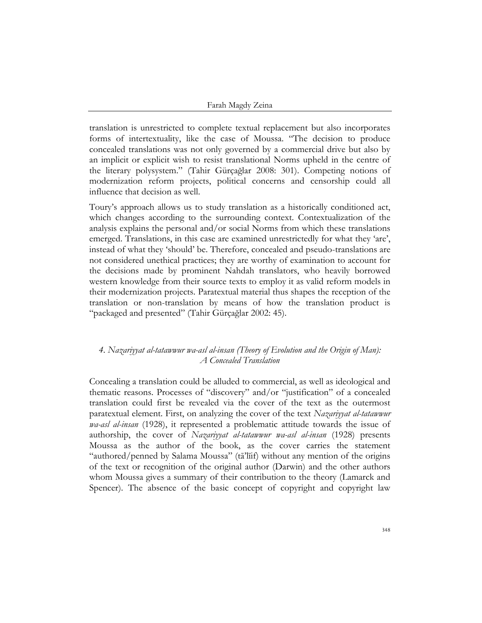translation is unrestricted to complete textual replacement but also incorporates forms of intertextuality, like the case of Moussa. "The decision to produce concealed translations was not only governed by a commercial drive but also by an implicit or explicit wish to resist translational Norms upheld in the centre of the literary polysystem." (Tahir Gürçağlar 2008: 301). Competing notions of modernization reform projects, political concerns and censorship could all influence that decision as well.

Toury's approach allows us to study translation as a historically conditioned act, which changes according to the surrounding context. Contextualization of the analysis explains the personal and/or social Norms from which these translations emerged. Translations, in this case are examined unrestrictedly for what they 'are', instead of what they 'should' be. Therefore, concealed and pseudo-translations are not considered unethical practices; they are worthy of examination to account for the decisions made by prominent Nahdah translators, who heavily borrowed western knowledge from their source texts to employ it as valid reform models in their modernization projects. Paratextual material thus shapes the reception of the translation or non-translation by means of how the translation product is "packaged and presented" (Tahir Gürçağlar 2002: 45).

# *4. Nazariyyat al-tatawwur wa-asl al-insan (Theory of Evolution and the Origin of Man): A Concealed Translation*

Concealing a translation could be alluded to commercial, as well as ideological and thematic reasons. Processes of "discovery" and/or "justification" of a concealed translation could first be revealed via the cover of the text as the outermost paratextual element. First, on analyzing the cover of the text *Nazariyyat al-tatawwur wa-asl al-insan* (1928), it represented a problematic attitude towards the issue of authorship, the cover of *Nazariyyat al-tatawwur wa-asl al-insan* (1928) presents Moussa as the author of the book, as the cover carries the statement "authored/penned by Salama Moussa" (tā'līif) without any mention of the origins of the text or recognition of the original author (Darwin) and the other authors whom Moussa gives a summary of their contribution to the theory (Lamarck and Spencer). The absence of the basic concept of copyright and copyright law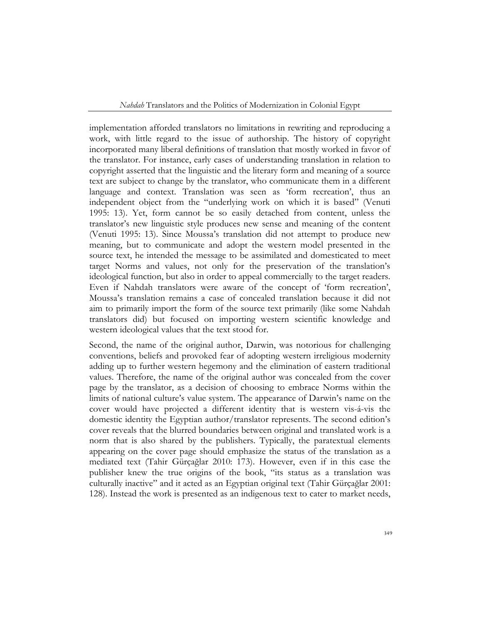implementation afforded translators no limitations in rewriting and reproducing a work, with little regard to the issue of authorship. The history of copyright incorporated many liberal definitions of translation that mostly worked in favor of the translator. For instance, early cases of understanding translation in relation to copyright asserted that the linguistic and the literary form and meaning of a source text are subject to change by the translator, who communicate them in a different language and context. Translation was seen as 'form recreation', thus an independent object from the "underlying work on which it is based" (Venuti 1995: 13). Yet, form cannot be so easily detached from content, unless the translator's new linguistic style produces new sense and meaning of the content (Venuti 1995: 13). Since Moussa's translation did not attempt to produce new meaning, but to communicate and adopt the western model presented in the source text, he intended the message to be assimilated and domesticated to meet target Norms and values, not only for the preservation of the translation's ideological function, but also in order to appeal commercially to the target readers. Even if Nahdah translators were aware of the concept of 'form recreation', Moussa's translation remains a case of concealed translation because it did not aim to primarily import the form of the source text primarily (like some Nahdah translators did) but focused on importing western scientific knowledge and western ideological values that the text stood for.

Second, the name of the original author, Darwin, was notorious for challenging conventions, beliefs and provoked fear of adopting western irreligious modernity adding up to further western hegemony and the elimination of eastern traditional values. Therefore, the name of the original author was concealed from the cover page by the translator, as a decision of choosing to embrace Norms within the limits of national culture's value system. The appearance of Darwin's name on the cover would have projected a different identity that is western vis-á-vis the domestic identity the Egyptian author/translator represents. The second edition's cover reveals that the blurred boundaries between original and translated work is a norm that is also shared by the publishers. Typically, the paratextual elements appearing on the cover page should emphasize the status of the translation as a mediated text (Tahir Gürçağlar 2010: 173). However, even if in this case the publisher knew the true origins of the book, "its status as a translation was culturally inactive" and it acted as an Egyptian original text (Tahir Gürçağlar 2001: 128). Instead the work is presented as an indigenous text to cater to market needs,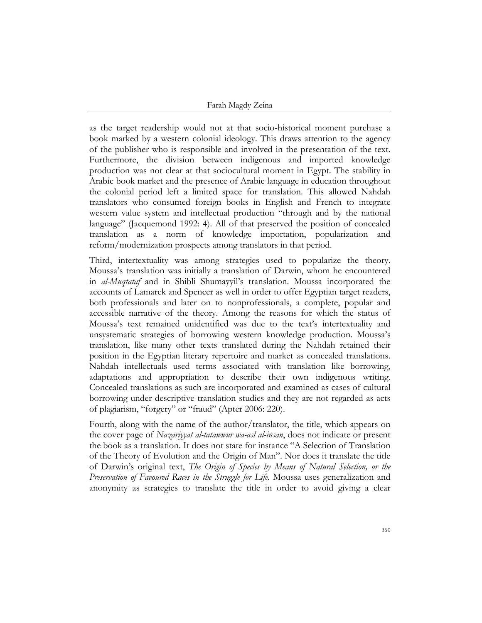as the target readership would not at that socio-historical moment purchase a book marked by a western colonial ideology. This draws attention to the agency of the publisher who is responsible and involved in the presentation of the text. Furthermore, the division between indigenous and imported knowledge production was not clear at that sociocultural moment in Egypt. The stability in Arabic book market and the presence of Arabic language in education throughout the colonial period left a limited space for translation. This allowed Nahdah translators who consumed foreign books in English and French to integrate western value system and intellectual production "through and by the national language" (Jacquemond 1992: 4). All of that preserved the position of concealed translation as a norm of knowledge importation, popularization and reform/modernization prospects among translators in that period.

Third, intertextuality was among strategies used to popularize the theory. Moussa's translation was initially a translation of Darwin, whom he encountered in *al-Muqtataf* and in Shibli Shumayyil's translation. Moussa incorporated the accounts of Lamarck and Spencer as well in order to offer Egyptian target readers, both professionals and later on to nonprofessionals, a complete, popular and accessible narrative of the theory. Among the reasons for which the status of Moussa's text remained unidentified was due to the text's intertextuality and unsystematic strategies of borrowing western knowledge production. Moussa's translation, like many other texts translated during the Nahdah retained their position in the Egyptian literary repertoire and market as concealed translations. Nahdah intellectuals used terms associated with translation like borrowing, adaptations and appropriation to describe their own indigenous writing. Concealed translations as such are incorporated and examined as cases of cultural borrowing under descriptive translation studies and they are not regarded as acts of plagiarism, "forgery" or "fraud" (Apter 2006: 220).

Fourth, along with the name of the author/translator, the title, which appears on the cover page of *Nazariyyat al-tatawwur wa-asl al-insan*, does not indicate or present the book as a translation. It does not state for instance "A Selection of Translation of the Theory of Evolution and the Origin of Man". Nor does it translate the title of Darwin's original text, *The Origin of Species by Means of Natural Selection, or the Preservation of Favoured Races in the Struggle for Life*. Moussa uses generalization and anonymity as strategies to translate the title in order to avoid giving a clear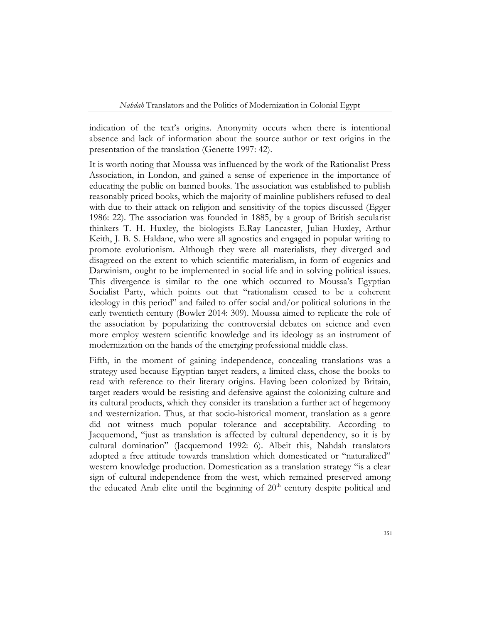indication of the text's origins. Anonymity occurs when there is intentional absence and lack of information about the source author or text origins in the presentation of the translation (Genette 1997: 42).

It is worth noting that Moussa was influenced by the work of the Rationalist Press Association, in London, and gained a sense of experience in the importance of educating the public on banned books. The association was established to publish reasonably priced books, which the majority of mainline publishers refused to deal with due to their attack on religion and sensitivity of the topics discussed (Egger 1986: 22). The association was founded in 1885, by a group of British secularist thinkers T. H. Huxley, the biologists E.Ray Lancaster, Julian Huxley, Arthur Keith, J. B. S. Haldane, who were all agnostics and engaged in popular writing to promote evolutionism. Although they were all materialists, they diverged and disagreed on the extent to which scientific materialism, in form of eugenics and Darwinism, ought to be implemented in social life and in solving political issues. This divergence is similar to the one which occurred to Moussa's Egyptian Socialist Party, which points out that "rationalism ceased to be a coherent ideology in this period" and failed to offer social and/or political solutions in the early twentieth century (Bowler 2014: 309). Moussa aimed to replicate the role of the association by popularizing the controversial debates on science and even more employ western scientific knowledge and its ideology as an instrument of modernization on the hands of the emerging professional middle class.

Fifth, in the moment of gaining independence, concealing translations was a strategy used because Egyptian target readers, a limited class, chose the books to read with reference to their literary origins. Having been colonized by Britain, target readers would be resisting and defensive against the colonizing culture and its cultural products, which they consider its translation a further act of hegemony and westernization. Thus, at that socio-historical moment, translation as a genre did not witness much popular tolerance and acceptability. According to Jacquemond, "just as translation is affected by cultural dependency, so it is by cultural domination" (Jacquemond 1992: 6). Albeit this, Nahdah translators adopted a free attitude towards translation which domesticated or "naturalized" western knowledge production. Domestication as a translation strategy "is a clear sign of cultural independence from the west, which remained preserved among the educated Arab elite until the beginning of  $20<sup>th</sup>$  century despite political and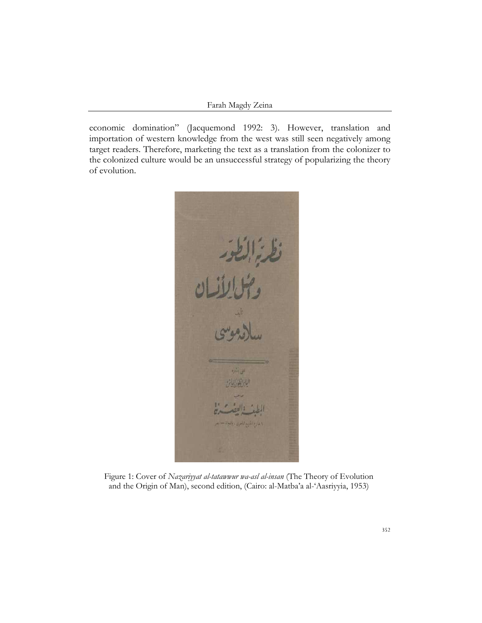economic domination" (Jacquemond 1992: 3). However, translation and importation of western knowledge from the west was still seen negatively among target readers. Therefore, marketing the text as a translation from the colonizer to the colonized culture would be an unsuccessful strategy of popularizing the theory of evolution.



Figure 1: Cover of *Nazariyyat al-tatawwur wa-asl al-insan* (The Theory of Evolution and the Origin of Man), second edition, (Cairo: al-Matba'a al-'Aasriyyia, 1953)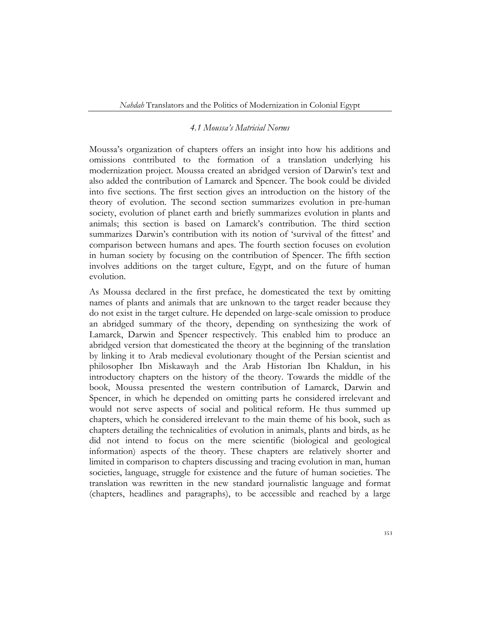## *4.1 Moussa's Matricial Norms*

Moussa's organization of chapters offers an insight into how his additions and omissions contributed to the formation of a translation underlying his modernization project. Moussa created an abridged version of Darwin's text and also added the contribution of Lamarck and Spencer. The book could be divided into five sections. The first section gives an introduction on the history of the theory of evolution. The second section summarizes evolution in pre-human society, evolution of planet earth and briefly summarizes evolution in plants and animals; this section is based on Lamarck's contribution. The third section summarizes Darwin's contribution with its notion of 'survival of the fittest' and comparison between humans and apes. The fourth section focuses on evolution in human society by focusing on the contribution of Spencer. The fifth section involves additions on the target culture, Egypt, and on the future of human evolution.

As Moussa declared in the first preface, he domesticated the text by omitting names of plants and animals that are unknown to the target reader because they do not exist in the target culture. He depended on large-scale omission to produce an abridged summary of the theory, depending on synthesizing the work of Lamarck, Darwin and Spencer respectively. This enabled him to produce an abridged version that domesticated the theory at the beginning of the translation by linking it to Arab medieval evolutionary thought of the Persian scientist and philosopher Ibn Miskawayh and the Arab Historian Ibn Khaldun, in his introductory chapters on the history of the theory. Towards the middle of the book, Moussa presented the western contribution of Lamarck, Darwin and Spencer, in which he depended on omitting parts he considered irrelevant and would not serve aspects of social and political reform. He thus summed up chapters, which he considered irrelevant to the main theme of his book, such as chapters detailing the technicalities of evolution in animals, plants and birds, as he did not intend to focus on the mere scientific (biological and geological information) aspects of the theory. These chapters are relatively shorter and limited in comparison to chapters discussing and tracing evolution in man, human societies, language, struggle for existence and the future of human societies. The translation was rewritten in the new standard journalistic language and format (chapters, headlines and paragraphs), to be accessible and reached by a large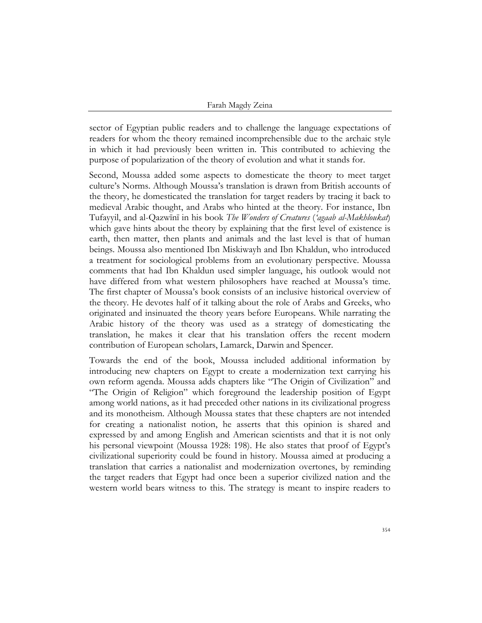sector of Egyptian public readers and to challenge the language expectations of readers for whom the theory remained incomprehensible due to the archaic style in which it had previously been written in. This contributed to achieving the purpose of popularization of the theory of evolution and what it stands for.

Second, Moussa added some aspects to domesticate the theory to meet target culture's Norms. Although Moussa's translation is drawn from British accounts of the theory, he domesticated the translation for target readers by tracing it back to medieval Arabic thought, and Arabs who hinted at the theory. For instance, Ibn Tufayyil, and al-Qazwīnī in his book *The Wonders of Creatures* (*'agaab al-Makhloukat*) which gave hints about the theory by explaining that the first level of existence is earth, then matter, then plants and animals and the last level is that of human beings. Moussa also mentioned Ibn Miskiwayh and Ibn Khaldun, who introduced a treatment for sociological problems from an evolutionary perspective. Moussa comments that had Ibn Khaldun used simpler language, his outlook would not have differed from what western philosophers have reached at Moussa's time. The first chapter of Moussa's book consists of an inclusive historical overview of the theory. He devotes half of it talking about the role of Arabs and Greeks, who originated and insinuated the theory years before Europeans. While narrating the Arabic history of the theory was used as a strategy of domesticating the translation, he makes it clear that his translation offers the recent modern contribution of European scholars, Lamarck, Darwin and Spencer.

Towards the end of the book, Moussa included additional information by introducing new chapters on Egypt to create a modernization text carrying his own reform agenda. Moussa adds chapters like "The Origin of Civilization" and "The Origin of Religion" which foreground the leadership position of Egypt among world nations, as it had preceded other nations in its civilizational progress and its monotheism. Although Moussa states that these chapters are not intended for creating a nationalist notion, he asserts that this opinion is shared and expressed by and among English and American scientists and that it is not only his personal viewpoint (Moussa 1928: 198). He also states that proof of Egypt's civilizational superiority could be found in history. Moussa aimed at producing a translation that carries a nationalist and modernization overtones, by reminding the target readers that Egypt had once been a superior civilized nation and the western world bears witness to this. The strategy is meant to inspire readers to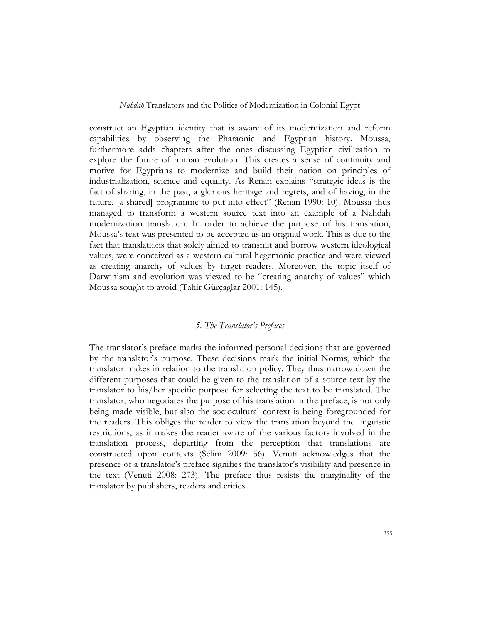construct an Egyptian identity that is aware of its modernization and reform capabilities by observing the Pharaonic and Egyptian history. Moussa, furthermore adds chapters after the ones discussing Egyptian civilization to explore the future of human evolution. This creates a sense of continuity and motive for Egyptians to modernize and build their nation on principles of industrialization, science and equality. As Renan explains "strategic ideas is the fact of sharing, in the past, a glorious heritage and regrets, and of having, in the future, [a shared] programme to put into effect" (Renan 1990: 10). Moussa thus managed to transform a western source text into an example of a Nahdah modernization translation. In order to achieve the purpose of his translation, Moussa's text was presented to be accepted as an original work. This is due to the fact that translations that solely aimed to transmit and borrow western ideological values, were conceived as a western cultural hegemonic practice and were viewed as creating anarchy of values by target readers. Moreover, the topic itself of Darwinism and evolution was viewed to be "creating anarchy of values" which Moussa sought to avoid (Tahir Gürçağlar 2001: 145).

## *5. The Translator's Prefaces*

The translator's preface marks the informed personal decisions that are governed by the translator's purpose. These decisions mark the initial Norms, which the translator makes in relation to the translation policy. They thus narrow down the different purposes that could be given to the translation of a source text by the translator to his/her specific purpose for selecting the text to be translated. The translator, who negotiates the purpose of his translation in the preface, is not only being made visible, but also the sociocultural context is being foregrounded for the readers. This obliges the reader to view the translation beyond the linguistic restrictions, as it makes the reader aware of the various factors involved in the translation process, departing from the perception that translations are constructed upon contexts (Selim 2009: 56). Venuti acknowledges that the presence of a translator's preface signifies the translator's visibility and presence in the text (Venuti 2008: 273). The preface thus resists the marginality of the translator by publishers, readers and critics.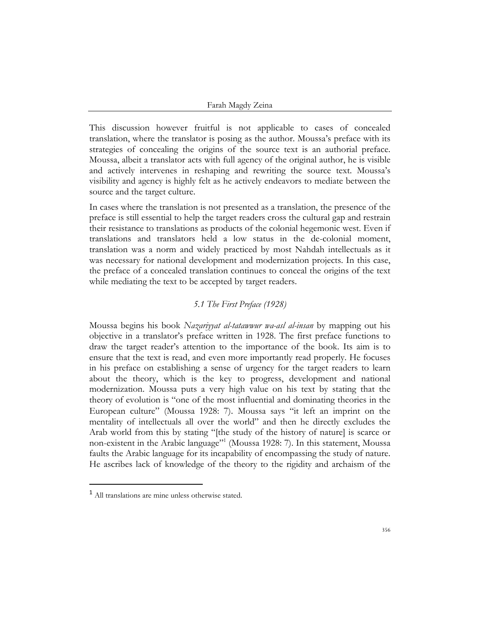This discussion however fruitful is not applicable to cases of concealed translation, where the translator is posing as the author. Moussa's preface with its strategies of concealing the origins of the source text is an authorial preface. Moussa, albeit a translator acts with full agency of the original author, he is visible and actively intervenes in reshaping and rewriting the source text. Moussa's visibility and agency is highly felt as he actively endeavors to mediate between the source and the target culture.

In cases where the translation is not presented as a translation, the presence of the preface is still essential to help the target readers cross the cultural gap and restrain their resistance to translations as products of the colonial hegemonic west. Even if translations and translators held a low status in the de-colonial moment, translation was a norm and widely practiced by most Nahdah intellectuals as it was necessary for national development and modernization projects. In this case, the preface of a concealed translation continues to conceal the origins of the text while mediating the text to be accepted by target readers.

## *5.1 The First Preface (1928)*

Moussa begins his book *Nazariyyat al-tatawwur wa-asl al-insan* by mapping out his objective in a translator's preface written in 1928. The first preface functions to draw the target reader's attention to the importance of the book. Its aim is to ensure that the text is read, and even more importantly read properly. He focuses in his preface on establishing a sense of urgency for the target readers to learn about the theory, which is the key to progress, development and national modernization. Moussa puts a very high value on his text by stating that the theory of evolution is "one of the most influential and dominating theories in the European culture" (Moussa 1928: 7). Moussa says "it left an imprint on the mentality of intellectuals all over the world" and then he directly excludes the Arab world from this by stating "[the study of the history of nature] is scarce or non-existent in the Arabic language"<sup>1</sup> (Moussa 1928: 7). In this statement, Moussa faults the Arabic language for its incapability of encompassing the study of nature. He ascribes lack of knowledge of the theory to the rigidity and archaism of the

<sup>1</sup> All translations are mine unless otherwise stated.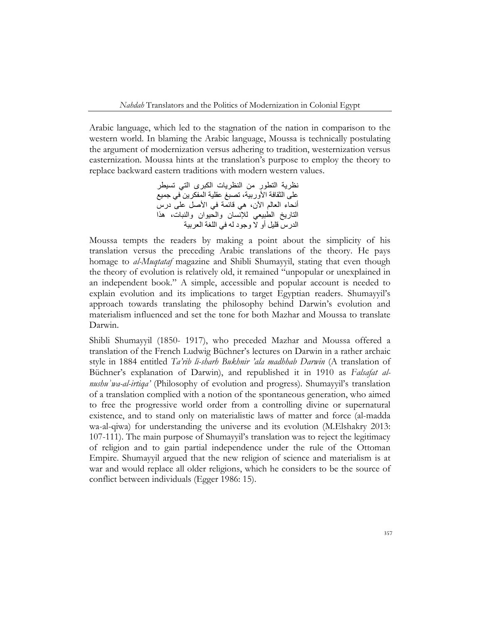Arabic language, which led to the stagnation of the nation in comparison to the western world. In blaming the Arabic language, Moussa is technically postulating the argument of modernization versus adhering to tradition, westernization versus easternization. Moussa hints at the translation's purpose to employ the theory to replace backward eastern traditions with modern western values.

> نظرية التطور من النظريات الكبرى التي تسيطر على الثقافة الأوربية، تصبغ عقلية المفكرين في جميع أنحاء العالم الأن، هي قائمة في الأصل على درس التاريخ الطبيعي لإلنسان والحيوان والنبات، هذا الدرس قليل أو ال وجود له في اللغة العربية

Moussa tempts the readers by making a point about the simplicity of his translation versus the preceding Arabic translations of the theory. He pays homage to *al-Muqtataf* magazine and Shibli Shumayyil, stating that even though the theory of evolution is relatively old, it remained "unpopular or unexplained in an independent book." A simple, accessible and popular account is needed to explain evolution and its implications to target Egyptian readers. Shumayyil's approach towards translating the philosophy behind Darwin's evolution and materialism influenced and set the tone for both Mazhar and Moussa to translate Darwin.

Shibli Shumayyil (1850- 1917), who preceded Mazhar and Moussa offered a translation of the French Ludwig Büchner's lectures on Darwin in a rather archaic style in 1884 entitled *Ta'rib li-sharh Bukhnir 'ala madhhab Darwin* (A translation of Büchner's explanation of Darwin), and republished it in 1910 as *Falsafat alnushuʾwa-al-irtiqa'* (Philosophy of evolution and progress). Shumayyil's translation of a translation complied with a notion of the spontaneous generation, who aimed to free the progressive world order from a controlling divine or supernatural existence, and to stand only on materialistic laws of matter and force (al-madda wa-al-qiwa) for understanding the universe and its evolution (M.Elshakry 2013: 107-111). The main purpose of Shumayyil's translation was to reject the legitimacy of religion and to gain partial independence under the rule of the Ottoman Empire. Shumayyil argued that the new religion of science and materialism is at war and would replace all older religions, which he considers to be the source of conflict between individuals (Egger 1986: 15).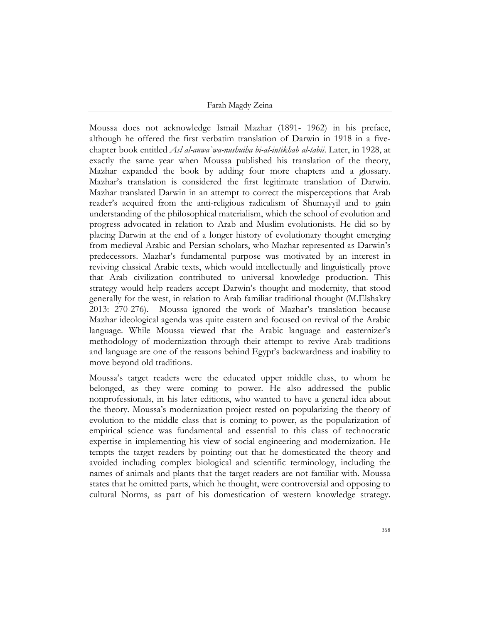Moussa does not acknowledge Ismail Mazhar (1891- 1962) in his preface, although he offered the first verbatim translation of Darwin in 1918 in a fivechapter book entitled *Asl al-anwaʿwa-nushuiha bi-al-intikhab al-tabii*. Later, in 1928, at exactly the same year when Moussa published his translation of the theory, Mazhar expanded the book by adding four more chapters and a glossary. Mazhar's translation is considered the first legitimate translation of Darwin. Mazhar translated Darwin in an attempt to correct the misperceptions that Arab reader's acquired from the anti-religious radicalism of Shumayyil and to gain understanding of the philosophical materialism, which the school of evolution and progress advocated in relation to Arab and Muslim evolutionists. He did so by placing Darwin at the end of a longer history of evolutionary thought emerging from medieval Arabic and Persian scholars, who Mazhar represented as Darwin's predecessors. Mazhar's fundamental purpose was motivated by an interest in reviving classical Arabic texts, which would intellectually and linguistically prove that Arab civilization contributed to universal knowledge production. This strategy would help readers accept Darwin's thought and modernity, that stood generally for the west, in relation to Arab familiar traditional thought (M.Elshakry 2013: 270-276). Moussa ignored the work of Mazhar's translation because Mazhar ideological agenda was quite eastern and focused on revival of the Arabic language. While Moussa viewed that the Arabic language and easternizer's methodology of modernization through their attempt to revive Arab traditions and language are one of the reasons behind Egypt's backwardness and inability to move beyond old traditions.

Moussa's target readers were the educated upper middle class, to whom he belonged, as they were coming to power. He also addressed the public nonprofessionals, in his later editions, who wanted to have a general idea about the theory. Moussa's modernization project rested on popularizing the theory of evolution to the middle class that is coming to power, as the popularization of empirical science was fundamental and essential to this class of technocratic expertise in implementing his view of social engineering and modernization. He tempts the target readers by pointing out that he domesticated the theory and avoided including complex biological and scientific terminology, including the names of animals and plants that the target readers are not familiar with. Moussa states that he omitted parts, which he thought, were controversial and opposing to cultural Norms, as part of his domestication of western knowledge strategy.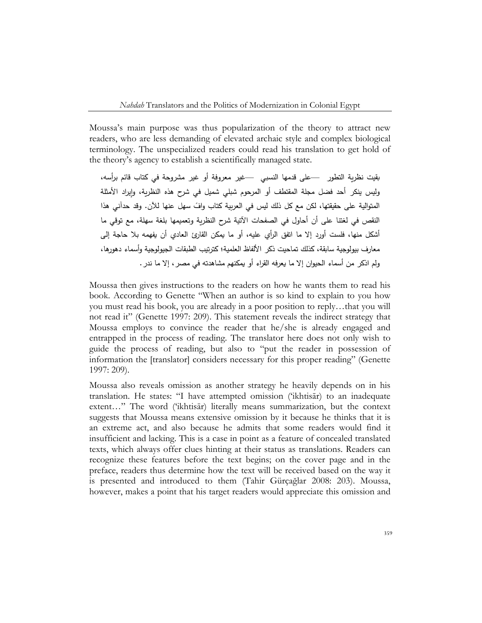Moussa's main purpose was thus popularization of the theory to attract new readers, who are less demanding of elevated archaic style and complex biological terminology. The unspecialized readers could read his translation to get hold of the theory's agency to establish a scientifically managed state.

بقيت نظرية التطور —على قدمها النسبي —غير معروفة أو غير مشروحة في كتاب قائم برأسه، وليس ينكر أحد فضل مجلة المقتطف أو المرحوم شبلي شميل في شرح هذه النظرية، وإيراد األمثلة المتوالية على حقيقتها، لكن مع كل ذلك ليس في العربية كتاب وافٍّ سهل عنها للآن. وقد حدآني هذا النقص في لغتنا على أن أحاول في الصفحات اآلتية شرح النظرية وتعميمها بلغة سهلة، مع توقي ما أشكل منها، فلست أورد إال ما اتفق الرأي عليه، أو ما يمكن القارئ العادي أن يفهمه بال حاجة إلى معارف بيولوجية سابقة، كذلك تماحيت ذكر الألفاظ العلمية؛ كترتيب الطبقات الجيولوجية وأسماء دهورها، ولم اذكر من أسماء الحيوان إال ما يعرفه القراء أو يمكنهم مشاهدته في مصر، إال ما ندر .

Moussa then gives instructions to the readers on how he wants them to read his book. According to Genette "When an author is so kind to explain to you how you must read his book, you are already in a poor position to reply…that you will not read it" (Genette 1997: 209). This statement reveals the indirect strategy that Moussa employs to convince the reader that he/she is already engaged and entrapped in the process of reading. The translator here does not only wish to guide the process of reading, but also to "put the reader in possession of information the [translator] considers necessary for this proper reading" (Genette 1997: 209).

Moussa also reveals omission as another strategy he heavily depends on in his translation. He states: "I have attempted omission ('ikhtisār) to an inadequate extent…" The word ('ikhtisār) literally means summarization, but the context suggests that Moussa means extensive omission by it because he thinks that it is an extreme act, and also because he admits that some readers would find it insufficient and lacking. This is a case in point as a feature of concealed translated texts, which always offer clues hinting at their status as translations. Readers can recognize these features before the text begins; on the cover page and in the preface, readers thus determine how the text will be received based on the way it is presented and introduced to them (Tahir Gürçağlar 2008: 203). Moussa, however, makes a point that his target readers would appreciate this omission and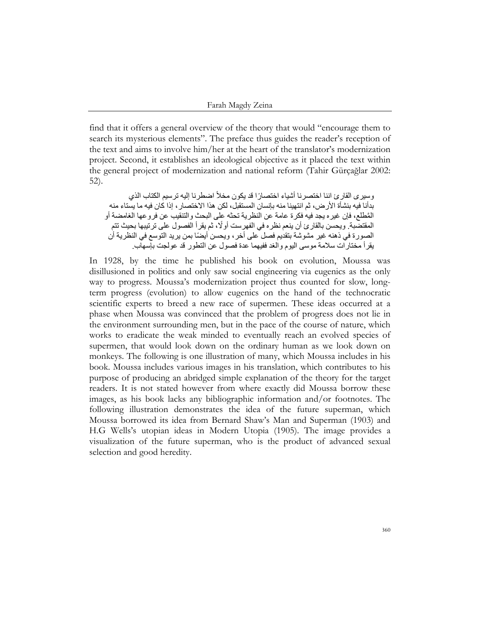find that it offers a general overview of the theory that would "encourage them to search its mysterious elements". The preface thus guides the reader's reception of the text and aims to involve him/her at the heart of the translator's modernization project. Second, it establishes an ideological objective as it placed the text within the general project of modernization and national reform (Tahir Gürçağlar 2002: 52).

وسيرى القارئ اننا اختصرنا أشياء اختصارًا قد يكون مخلأ اضطرنا إليه ترسيم الكتاب الذي بدأنا فيه بنشأة الأر ض، ثم انتهينا منه بإنسان المستقبل، لكن هذا الاختصار ، إذا كان فيه ما يستاء منه المَّطلع، فإن غير ه يجد فيه فكر ة عامة عن النظرية تحثه على البحث والتنقيب عن فر و عها الغامضة أو المقتضبة. ويحسن بالقارئ أن ينعم نظره في الفهرست أولًا، ثم يقرأ الفصول على ترتيبها بحيث تتم الصورة في ذهنه غير مشوشة بتقديم فصل على أخر ، ويحسن أيضًا بمن يريد التوسع في النظرية أن يقرأ مختارات سلمة موسى اليوم والغد ففيهما عدة فصول عن التطور قد عولجت بإسهاب.

In 1928, by the time he published his book on evolution, Moussa was disillusioned in politics and only saw social engineering via eugenics as the only way to progress. Moussa's modernization project thus counted for slow, longterm progress (evolution) to allow eugenics on the hand of the technocratic scientific experts to breed a new race of supermen. These ideas occurred at a phase when Moussa was convinced that the problem of progress does not lie in the environment surrounding men, but in the pace of the course of nature, which works to eradicate the weak minded to eventually reach an evolved species of supermen, that would look down on the ordinary human as we look down on monkeys. The following is one illustration of many, which Moussa includes in his book. Moussa includes various images in his translation, which contributes to his purpose of producing an abridged simple explanation of the theory for the target readers. It is not stated however from where exactly did Moussa borrow these images, as his book lacks any bibliographic information and/or footnotes. The following illustration demonstrates the idea of the future superman, which Moussa borrowed its idea from Bernard Shaw's Man and Superman (1903) and H.G Wells's utopian ideas in Modern Utopia (1905). The image provides a visualization of the future superman, who is the product of advanced sexual selection and good heredity.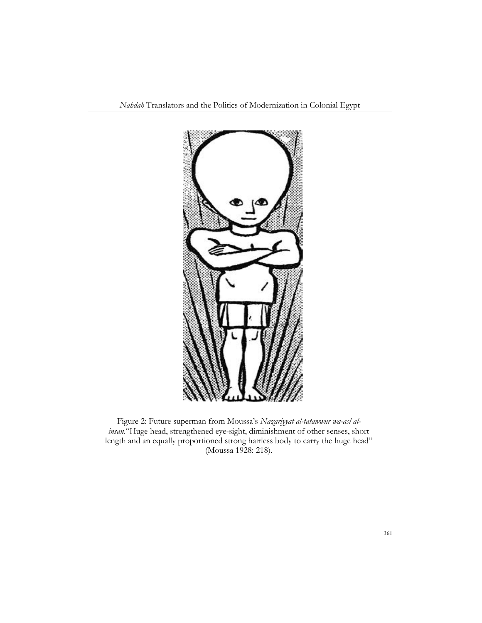

Figure 2: Future superman from Moussa's *Nazariyyat al-tatawwur wa-asl alinsan*."Huge head, strengthened eye-sight, diminishment of other senses, short length and an equally proportioned strong hairless body to carry the huge head" (Moussa 1928: 218).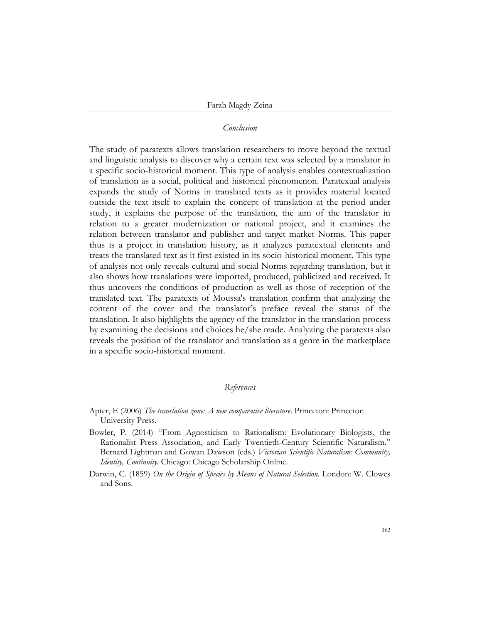## *Conclusion*

The study of paratexts allows translation researchers to move beyond the textual and linguistic analysis to discover why a certain text was selected by a translator in a specific socio-historical moment. This type of analysis enables contextualization of translation as a social, political and historical phenomenon. Paratexual analysis expands the study of Norms in translated texts as it provides material located outside the text itself to explain the concept of translation at the period under study, it explains the purpose of the translation, the aim of the translator in relation to a greater modernization or national project, and it examines the relation between translator and publisher and target market Norms. This paper thus is a project in translation history, as it analyzes paratextual elements and treats the translated text as it first existed in its socio-historical moment. This type of analysis not only reveals cultural and social Norms regarding translation, but it also shows how translations were imported, produced, publicized and received. It thus uncovers the conditions of production as well as those of reception of the translated text. The paratexts of Moussa's translation confirm that analyzing the content of the cover and the translator's preface reveal the status of the translation. It also highlights the agency of the translator in the translation process by examining the decisions and choices he/she made. Analyzing the paratexts also reveals the position of the translator and translation as a genre in the marketplace in a specific socio-historical moment.

## *References*

- Apter, E (2006) *The translation zone: A new comparative literature*. Princeton: Princeton University Press.
- Bowler, P. (2014) "From Agnosticism to Rationalism: Evolutionary Biologists, the Rationalist Press Association, and Early Twentieth-Century Scientific Naturalism." Bernard Lightman and Gowan Dawson (eds.) *Victorian Scientific Naturalism: Community, Identity, Continuity.* Chicago: Chicago Scholarship Online.
- Darwin, C. (1859) *On the Origin of Species by Means of Natural Selection*. London: W. Clowes and Sons.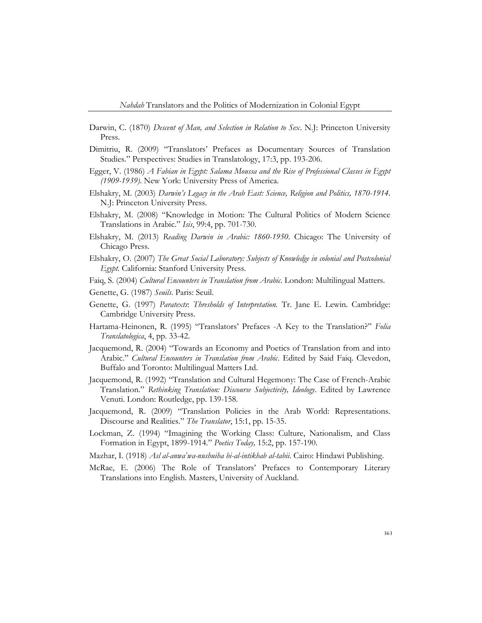- Darwin, C. (1870) *Descent of Man, and Selection in Relation to Sex*. N.J: Princeton University Press.
- Dimitriu, R. (2009) "Translators' Prefaces as Documentary Sources of Translation Studies." Perspectives: Studies in Translatology, 17:3, pp. 193-206.
- Egger, V. (1986) *A Fabian in Egypt: Salama Moussa and the Rise of Professional Classes in Egypt (1909-1939)*. New York: University Press of America*.*
- Elshakry, M. (2003) *Darwin's Legacy in the Arab East: Science, Religion and Politics, 1870-1914*. N.J: Princeton University Press.
- Elshakry, M. (2008) "Knowledge in Motion: The Cultural Politics of Modern Science Translations in Arabic." *Isis*, 99:4, pp. 701-730.
- Elshakry, M. (2013) *Reading Darwin in Arabic: 1860-1950*. Chicago: The University of Chicago Press.
- Elshakry, O. (2007) *The Great Social Laboratory: Subjects of Knowledge in colonial and Postcolonial Egypt.* California: Stanford University Press.
- Faiq, S. (2004) *Cultural Encounters in Translation from Arabic*. London: Multilingual Matters.
- Genette, G. (1987) *Seuils*. Paris: Seuil.
- Genette, G. (1997) *Paratexts*: *Thresholds of Interpretation.* Tr. Jane E. Lewin. Cambridge: Cambridge University Press.
- Hartama-Heinonen, R. (1995) "Translators' Prefaces -A Key to the Translation?" *Folia Translatologica*, 4, pp. 33-42.
- Jacquemond, R. (2004) "Towards an Economy and Poetics of Translation from and into Arabic." *Cultural Encounters in Translation from Arabic*. Edited by Said Faiq. Clevedon, Buffalo and Toronto: Multilingual Matters Ltd.
- Jacquemond, R. (1992) "Translation and Cultural Hegemony: The Case of French-Arabic Translation." *Rethinking Translation: Discourse Subjectivity, Ideology*. Edited by Lawrence Venuti. London: Routledge, pp. 139-158.
- Jacquemond, R. (2009) "Translation Policies in the Arab World: Representations. Discourse and Realities." *The Translator*, 15:1, pp. 15-35.
- Lockman, Z. (1994) "Imagining the Working Class: Culture, Nationalism, and Class Formation in Egypt, 1899-1914." *Poetics Today,* 15:2, pp. 157-190.
- Mazhar, I. (1918) *Asl al-anwaʿwa-nushuiha bi-al-intikhab al-tabii*. Cairo: Hindawi Publishing.
- McRae, E. (2006) The Role of Translators' Prefaces to Contemporary Literary Translations into English. Masters, University of Auckland.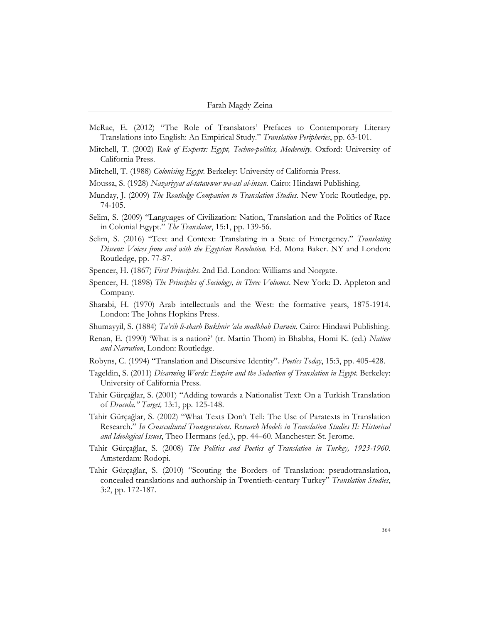- McRae, E. (2012) "The Role of Translators' Prefaces to Contemporary Literary Translations into English: An Empirical Study." *Translation Peripheries*, pp. 63-101.
- Mitchell, T. (2002) *Rule of Experts: Egypt, Techno-politics, Modernity*. Oxford: University of California Press.
- Mitchell, T. (1988) *Colonising Egypt*. Berkeley: University of California Press.
- Moussa, S. (1928) *Nazariyyat al-tatawwur wa-asl al-insan.* Cairo: Hindawi Publishing.
- Munday, J. (2009) *The Routledge Companion to Translation Studies.* New York: Routledge, pp. 74-105.
- Selim, S. (2009) "Languages of Civilization: Nation, Translation and the Politics of Race in Colonial Egypt." *The Translator*, 15:1, pp. 139-56.
- Selim, S. (2016) "Text and Context: Translating in a State of Emergency." *Translating Dissent: Voices from and with the Egyptian Revolution.* Ed. Mona Baker. NY and London: Routledge, pp. 77-87.
- Spencer, H. (1867) *First Principles*. 2nd Ed. London: Williams and Norgate.
- Spencer, H. (1898) *The Principles of Sociology, in Three Volumes*. New York: D. Appleton and Company.
- Sharabi, H. (1970) Arab intellectuals and the West: the formative years, 1875-1914. London: The Johns Hopkins Press.
- Shumayyil, S. (1884) *Ta'rib li-sharh Bukhnir 'ala madhhab Darwin.* Cairo: Hindawi Publishing.
- Renan, E. (1990) 'What is a nation?' (tr. Martin Thom) in Bhabha, Homi K. (ed.) *Nation and Narration*, London: Routledge.
- Robyns, C. (1994) "Translation and Discursive Identity". *Poetics Today*, 15:3, pp. 405-428.
- Tageldin, S. (2011) *Disarming Words: Empire and the Seduction of Translation in Egypt*. Berkeley: University of California Press.
- Tahir Gürçağlar, S. (2001) "Adding towards a Nationalist Text: On a Turkish Translation of *Dracula." Target,* 13:1, pp. 125-148.
- Tahir Gürçağlar, S. (2002) "What Texts Don't Tell: The Use of Paratexts in Translation Research." *In Crosscultural Transgressions. Research Models in Translation Studies II: Historical and Ideological Issues*, Theo Hermans (ed.), pp. 44–60. Manchester: St. Jerome.
- Tahir Gürçağlar, S. (2008) *The Politics and Poetics of Translation in Turkey, 1923-1960.*  Amsterdam: Rodopi.
- Tahir Gürçağlar, S. (2010) "Scouting the Borders of Translation: pseudotranslation, concealed translations and authorship in Twentieth-century Turkey" *Translation Studies*, 3:2, pp. 172-187.